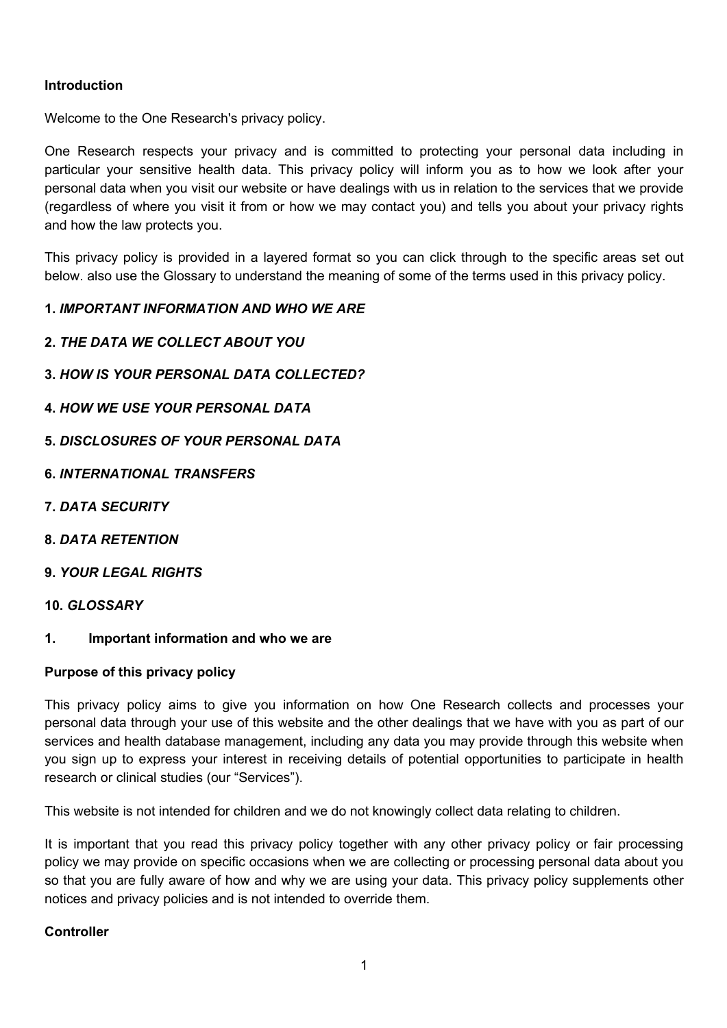### **Introduction**

Welcome to the One Research's privacy policy.

One Research respects your privacy and is committed to protecting your personal data including in particular your sensitive health data. This privacy policy will inform you as to how we look after your personal data when you visit our website or have dealings with us in relation to the services that we provide (regardless of where you visit it from or how we may contact you) and tells you about your privacy rights and how the law protects you.

This privacy policy is provided in a layered format so you can click through to the specific areas set out below. also use the Glossary to understand the meaning of some of the terms used in this privacy policy.

#### **1.** *IMPORTANT INFORMATION AND WHO WE ARE*

- **2.** *THE DATA WE COLLECT ABOUT YOU*
- **3.** *HOW IS YOUR PERSONAL DATA COLLECTED?*
- **4.** *HOW WE USE YOUR PERSONAL DATA*
- **5.** *DISCLOSURES OF YOUR PERSONAL DATA*
- **6.** *INTERNATIONAL TRANSFERS*
- **7.** *DATA SECURITY*
- **8.** *DATA RETENTION*
- **9.** *YOUR LEGAL RIGHTS*

#### **10.** *GLOSSARY*

**1. Important information and who we are**

#### **Purpose of this privacy policy**

This privacy policy aims to give you information on how One Research collects and processes your personal data through your use of this website and the other dealings that we have with you as part of our services and health database management, including any data you may provide through this website when you sign up to express your interest in receiving details of potential opportunities to participate in health research or clinical studies (our "Services").

This website is not intended for children and we do not knowingly collect data relating to children.

It is important that you read this privacy policy together with any other privacy policy or fair processing policy we may provide on specific occasions when we are collecting or processing personal data about you so that you are fully aware of how and why we are using your data. This privacy policy supplements other notices and privacy policies and is not intended to override them.

#### **Controller**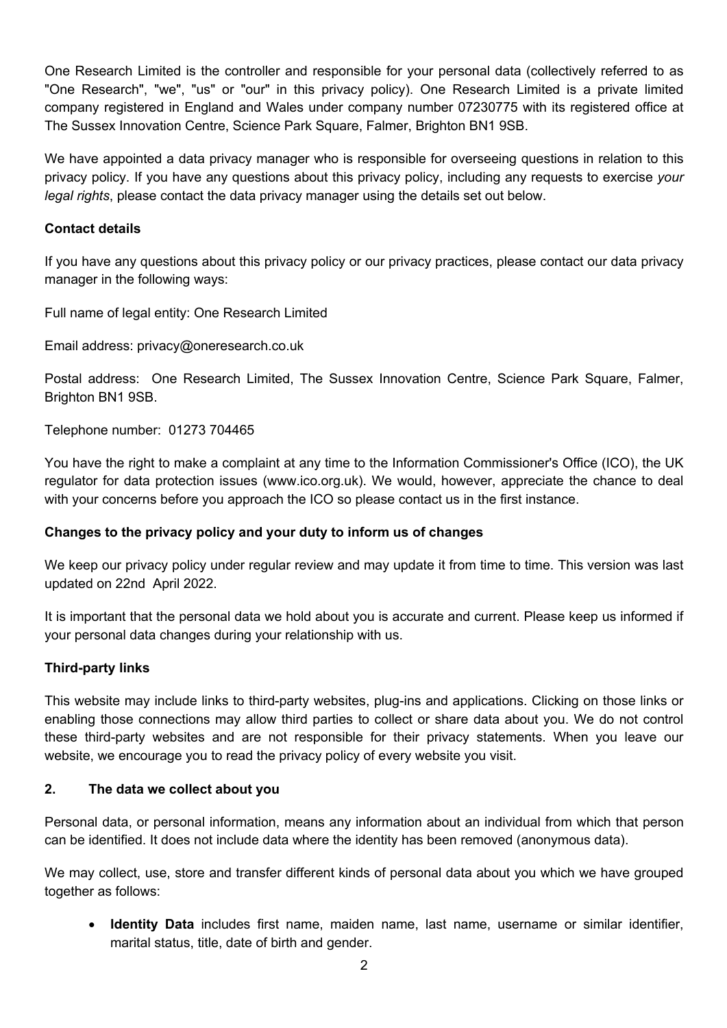One Research Limited is the controller and responsible for your personal data (collectively referred to as "One Research", "we", "us" or "our" in this privacy policy). One Research Limited is a private limited company registered in England and Wales under company number 07230775 with its registered office at The Sussex Innovation Centre, Science Park Square, Falmer, Brighton BN1 9SB.

We have appointed a data privacy manager who is responsible for overseeing questions in relation to this privacy policy. If you have any questions about this privacy policy, including any requests to exercise *your legal rights*, please contact the data privacy manager using the details set out below.

## **Contact details**

If you have any questions about this privacy policy or our privacy practices, please contact our data privacy manager in the following ways:

Full name of legal entity: One Research Limited

Email address: privacy@oneresearch.co.uk

Postal address: One Research Limited, The Sussex Innovation Centre, Science Park Square, Falmer, Brighton BN1 9SB.

Telephone number: 01273 704465

You have the right to make a complaint at any time to the Information Commissioner's Office (ICO), the UK regulator for data protection issues (www.ico.org.uk). We would, however, appreciate the chance to deal with your concerns before you approach the ICO so please contact us in the first instance.

### **Changes to the privacy policy and your duty to inform us of changes**

We keep our privacy policy under regular review and may update it from time to time. This version was last updated on 22nd April 2022.

It is important that the personal data we hold about you is accurate and current. Please keep us informed if your personal data changes during your relationship with us.

### **Third-party links**

This website may include links to third-party websites, plug-ins and applications. Clicking on those links or enabling those connections may allow third parties to collect or share data about you. We do not control these third-party websites and are not responsible for their privacy statements. When you leave our website, we encourage you to read the privacy policy of every website you visit.

### **2. The data we collect about you**

Personal data, or personal information, means any information about an individual from which that person can be identified. It does not include data where the identity has been removed (anonymous data).

We may collect, use, store and transfer different kinds of personal data about you which we have grouped together as follows:

• **Identity Data** includes first name, maiden name, last name, username or similar identifier, marital status, title, date of birth and gender.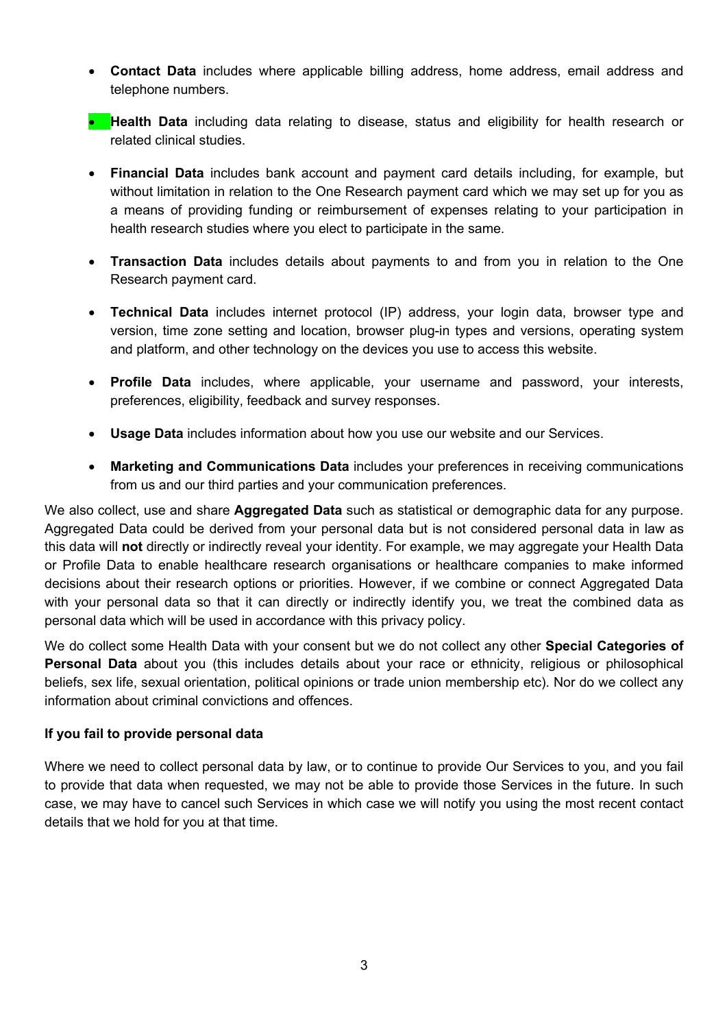- **Contact Data** includes where applicable billing address, home address, email address and telephone numbers.
- **Health Data** including data relating to disease, status and eligibility for health research or related clinical studies.
- **Financial Data** includes bank account and payment card details including, for example, but without limitation in relation to the One Research payment card which we may set up for you as a means of providing funding or reimbursement of expenses relating to your participation in health research studies where you elect to participate in the same.
- **Transaction Data** includes details about payments to and from you in relation to the One Research payment card.
- **Technical Data** includes internet protocol (IP) address, your login data, browser type and version, time zone setting and location, browser plug-in types and versions, operating system and platform, and other technology on the devices you use to access this website.
- **Profile Data** includes, where applicable, your username and password, your interests, preferences, eligibility, feedback and survey responses.
- **Usage Data** includes information about how you use our website and our Services.
- **Marketing and Communications Data** includes your preferences in receiving communications from us and our third parties and your communication preferences.

We also collect, use and share **Aggregated Data** such as statistical or demographic data for any purpose. Aggregated Data could be derived from your personal data but is not considered personal data in law as this data will **not** directly or indirectly reveal your identity. For example, we may aggregate your Health Data or Profile Data to enable healthcare research organisations or healthcare companies to make informed decisions about their research options or priorities. However, if we combine or connect Aggregated Data with your personal data so that it can directly or indirectly identify you, we treat the combined data as personal data which will be used in accordance with this privacy policy.

We do collect some Health Data with your consent but we do not collect any other **Special Categories of Personal Data** about you (this includes details about your race or ethnicity, religious or philosophical beliefs, sex life, sexual orientation, political opinions or trade union membership etc). Nor do we collect any information about criminal convictions and offences.

#### **If you fail to provide personal data**

Where we need to collect personal data by law, or to continue to provide Our Services to you, and you fail to provide that data when requested, we may not be able to provide those Services in the future. In such case, we may have to cancel such Services in which case we will notify you using the most recent contact details that we hold for you at that time.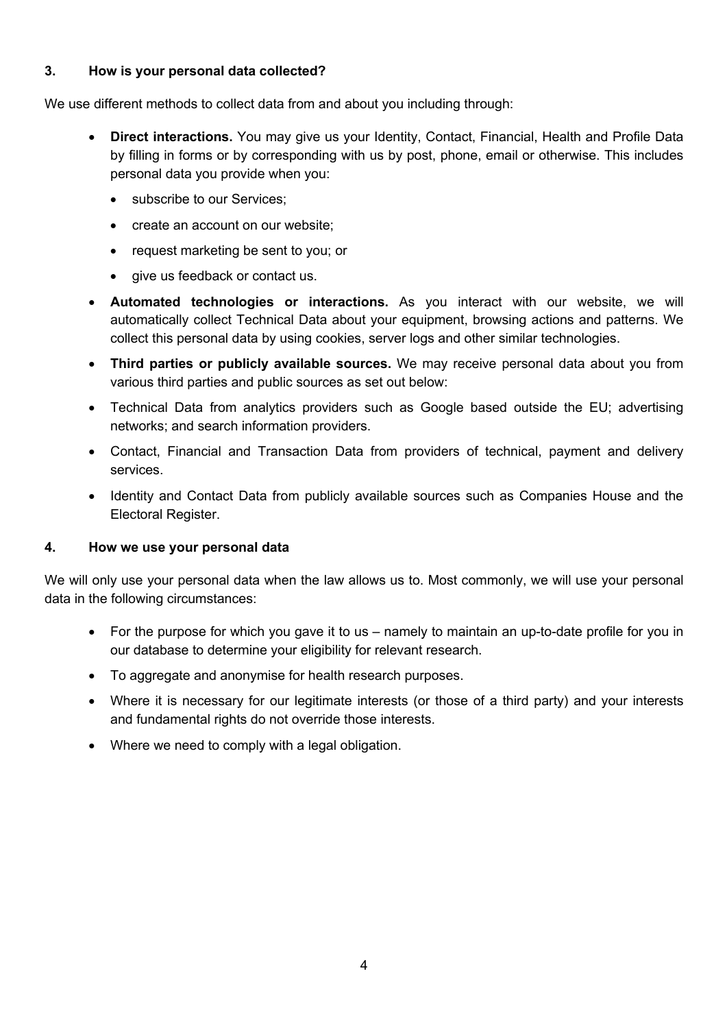### **3. How is your personal data collected?**

We use different methods to collect data from and about you including through:

- **Direct interactions.** You may give us your Identity, Contact, Financial, Health and Profile Data by filling in forms or by corresponding with us by post, phone, email or otherwise. This includes personal data you provide when you:
	- subscribe to our Services;
	- create an account on our website;
	- request marketing be sent to you; or
	- give us feedback or contact us.
- **Automated technologies or interactions.** As you interact with our website, we will automatically collect Technical Data about your equipment, browsing actions and patterns. We collect this personal data by using cookies, server logs and other similar technologies.
- **Third parties or publicly available sources.** We may receive personal data about you from various third parties and public sources as set out below:
- Technical Data from analytics providers such as Google based outside the EU; advertising networks; and search information providers.
- Contact, Financial and Transaction Data from providers of technical, payment and delivery services.
- Identity and Contact Data from publicly available sources such as Companies House and the Electoral Register.

#### **4. How we use your personal data**

We will only use your personal data when the law allows us to. Most commonly, we will use your personal data in the following circumstances:

- For the purpose for which you gave it to us namely to maintain an up-to-date profile for you in our database to determine your eligibility for relevant research.
- To aggregate and anonymise for health research purposes.
- Where it is necessary for our legitimate interests (or those of a third party) and your interests and fundamental rights do not override those interests.
- Where we need to comply with a legal obligation.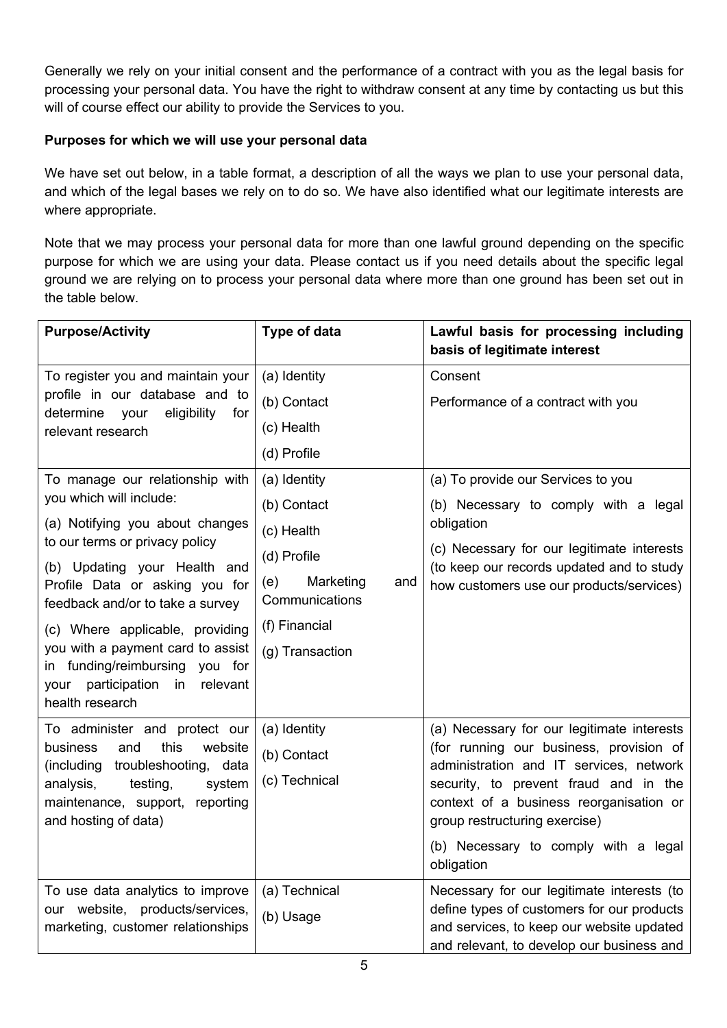Generally we rely on your initial consent and the performance of a contract with you as the legal basis for processing your personal data. You have the right to withdraw consent at any time by contacting us but this will of course effect our ability to provide the Services to you.

# **Purposes for which we will use your personal data**

We have set out below, in a table format, a description of all the ways we plan to use your personal data, and which of the legal bases we rely on to do so. We have also identified what our legitimate interests are where appropriate.

Note that we may process your personal data for more than one lawful ground depending on the specific purpose for which we are using your data. Please contact us if you need details about the specific legal ground we are relying on to process your personal data where more than one ground has been set out in the table below.

| <b>Purpose/Activity</b>                                                                                                                                                                            | Type of data                              | Lawful basis for processing including<br>basis of legitimate interest                                                                                                                     |
|----------------------------------------------------------------------------------------------------------------------------------------------------------------------------------------------------|-------------------------------------------|-------------------------------------------------------------------------------------------------------------------------------------------------------------------------------------------|
| To register you and maintain your<br>profile in our database and to<br>determine<br>eligibility<br>your<br>for<br>relevant research                                                                | (a) Identity                              | Consent                                                                                                                                                                                   |
|                                                                                                                                                                                                    | (b) Contact                               | Performance of a contract with you                                                                                                                                                        |
|                                                                                                                                                                                                    | (c) Health                                |                                                                                                                                                                                           |
|                                                                                                                                                                                                    | (d) Profile                               |                                                                                                                                                                                           |
| To manage our relationship with                                                                                                                                                                    | (a) Identity                              | (a) To provide our Services to you                                                                                                                                                        |
| you which will include:<br>(a) Notifying you about changes<br>to our terms or privacy policy<br>(b) Updating your Health and<br>Profile Data or asking you for<br>feedback and/or to take a survey | (b) Contact                               | (b) Necessary to comply with a legal<br>obligation<br>(c) Necessary for our legitimate interests<br>(to keep our records updated and to study<br>how customers use our products/services) |
|                                                                                                                                                                                                    | (c) Health                                |                                                                                                                                                                                           |
|                                                                                                                                                                                                    | (d) Profile                               |                                                                                                                                                                                           |
|                                                                                                                                                                                                    | (e)<br>Marketing<br>and<br>Communications |                                                                                                                                                                                           |
| (c) Where applicable, providing<br>you with a payment card to assist<br>in funding/reimbursing<br>you for<br>participation in<br>relevant<br>your<br>health research                               | (f) Financial                             |                                                                                                                                                                                           |
|                                                                                                                                                                                                    | (g) Transaction                           |                                                                                                                                                                                           |
| To administer and protect our<br>business<br>this<br>website<br>and<br>troubleshooting, data<br>(including                                                                                         | (a) Identity                              | (a) Necessary for our legitimate interests                                                                                                                                                |
|                                                                                                                                                                                                    | (b) Contact                               | (for running our business, provision of<br>administration and IT services, network                                                                                                        |
| testing,<br>analysis,<br>system                                                                                                                                                                    | (c) Technical                             | security, to prevent fraud and in the                                                                                                                                                     |
| maintenance, support,<br>reporting<br>and hosting of data)                                                                                                                                         |                                           | context of a business reorganisation or<br>group restructuring exercise)                                                                                                                  |
|                                                                                                                                                                                                    |                                           | (b) Necessary to comply with a legal<br>obligation                                                                                                                                        |
| To use data analytics to improve                                                                                                                                                                   | (a) Technical                             | Necessary for our legitimate interests (to                                                                                                                                                |
| our website, products/services,<br>marketing, customer relationships                                                                                                                               | (b) Usage                                 | define types of customers for our products<br>and services, to keep our website updated<br>and relevant, to develop our business and                                                      |
|                                                                                                                                                                                                    |                                           |                                                                                                                                                                                           |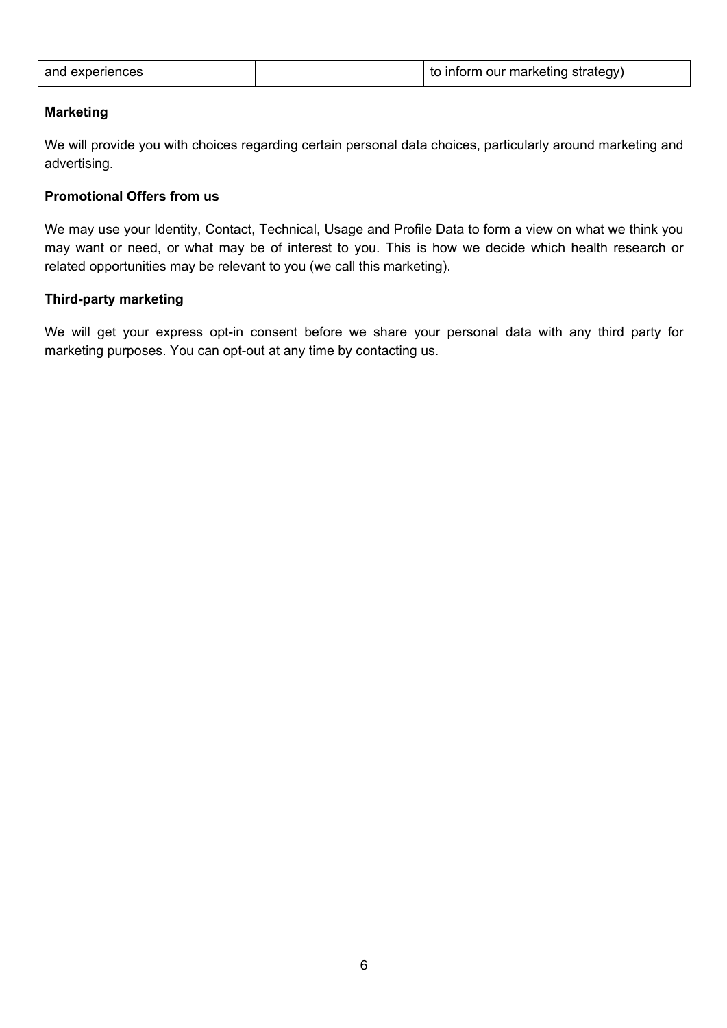| and experiences | to inform our marketing strategy) |
|-----------------|-----------------------------------|
|                 |                                   |

#### **Marketing**

We will provide you with choices regarding certain personal data choices, particularly around marketing and advertising.

# **Promotional Offers from us**

We may use your Identity, Contact, Technical, Usage and Profile Data to form a view on what we think you may want or need, or what may be of interest to you. This is how we decide which health research or related opportunities may be relevant to you (we call this marketing).

#### **Third-party marketing**

We will get your express opt-in consent before we share your personal data with any third party for marketing purposes. You can opt-out at any time by contacting us.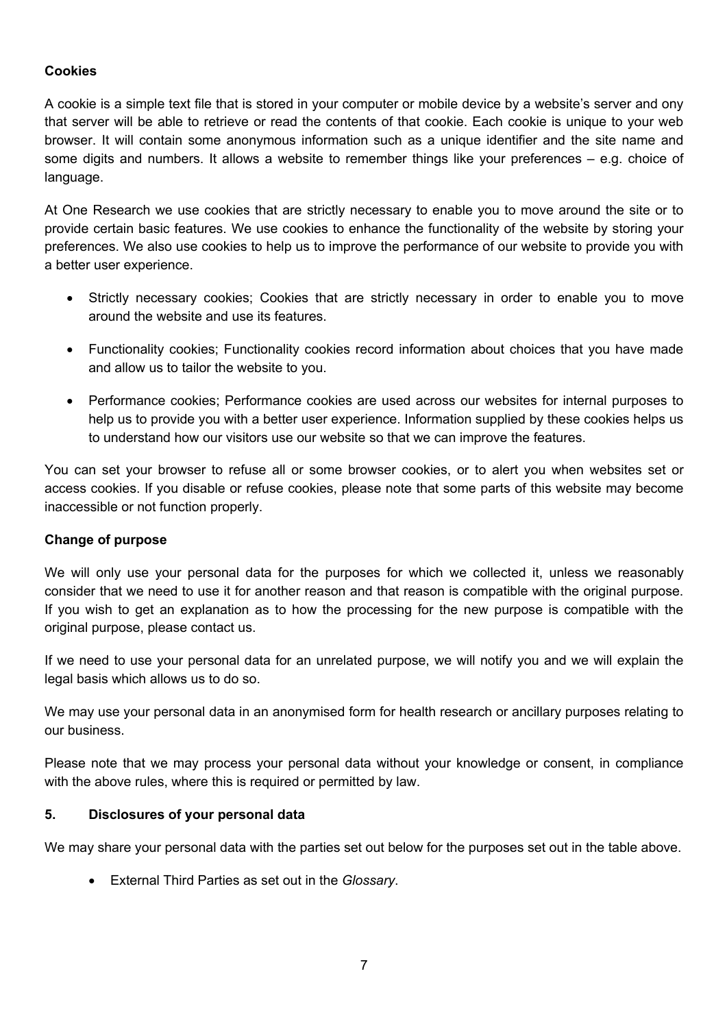## **Cookies**

A cookie is a simple text file that is stored in your computer or mobile device by a website's server and ony that server will be able to retrieve or read the contents of that cookie. Each cookie is unique to your web browser. It will contain some anonymous information such as a unique identifier and the site name and some digits and numbers. It allows a website to remember things like your preferences – e.g. choice of language.

At One Research we use cookies that are strictly necessary to enable you to move around the site or to provide certain basic features. We use cookies to enhance the functionality of the website by storing your preferences. We also use cookies to help us to improve the performance of our website to provide you with a better user experience.

- Strictly necessary cookies; Cookies that are strictly necessary in order to enable you to move around the website and use its features.
- Functionality cookies; Functionality cookies record information about choices that you have made and allow us to tailor the website to you.
- Performance cookies; Performance cookies are used across our websites for internal purposes to help us to provide you with a better user experience. Information supplied by these cookies helps us to understand how our visitors use our website so that we can improve the features.

You can set your browser to refuse all or some browser cookies, or to alert you when websites set or access cookies. If you disable or refuse cookies, please note that some parts of this website may become inaccessible or not function properly.

### **Change of purpose**

We will only use your personal data for the purposes for which we collected it, unless we reasonably consider that we need to use it for another reason and that reason is compatible with the original purpose. If you wish to get an explanation as to how the processing for the new purpose is compatible with the original purpose, please contact us.

If we need to use your personal data for an unrelated purpose, we will notify you and we will explain the legal basis which allows us to do so.

We may use your personal data in an anonymised form for health research or ancillary purposes relating to our business.

Please note that we may process your personal data without your knowledge or consent, in compliance with the above rules, where this is required or permitted by law.

### **5. Disclosures of your personal data**

We may share your personal data with the parties set out below for the purposes set out in the table above.

• External Third Parties as set out in the *Glossary*.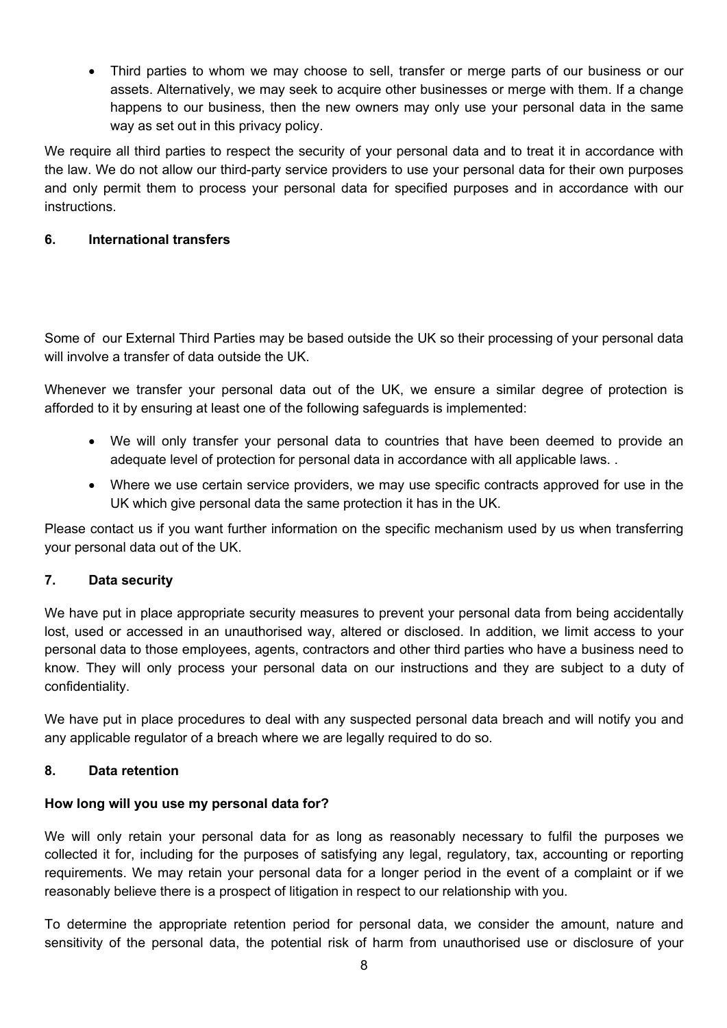• Third parties to whom we may choose to sell, transfer or merge parts of our business or our assets. Alternatively, we may seek to acquire other businesses or merge with them. If a change happens to our business, then the new owners may only use your personal data in the same way as set out in this privacy policy.

We require all third parties to respect the security of your personal data and to treat it in accordance with the law. We do not allow our third-party service providers to use your personal data for their own purposes and only permit them to process your personal data for specified purposes and in accordance with our instructions.

## **6. International transfers**

Some of our External Third Parties may be based outside the UK so their processing of your personal data will involve a transfer of data outside the UK.

Whenever we transfer your personal data out of the UK, we ensure a similar degree of protection is afforded to it by ensuring at least one of the following safeguards is implemented:

- We will only transfer your personal data to countries that have been deemed to provide an adequate level of protection for personal data in accordance with all applicable laws. .
- Where we use certain service providers, we may use specific contracts approved for use in the UK which give personal data the same protection it has in the UK.

Please contact us if you want further information on the specific mechanism used by us when transferring your personal data out of the UK.

### **7. Data security**

We have put in place appropriate security measures to prevent your personal data from being accidentally lost, used or accessed in an unauthorised way, altered or disclosed. In addition, we limit access to your personal data to those employees, agents, contractors and other third parties who have a business need to know. They will only process your personal data on our instructions and they are subject to a duty of confidentiality.

We have put in place procedures to deal with any suspected personal data breach and will notify you and any applicable regulator of a breach where we are legally required to do so.

### **8. Data retention**

### **How long will you use my personal data for?**

We will only retain your personal data for as long as reasonably necessary to fulfil the purposes we collected it for, including for the purposes of satisfying any legal, regulatory, tax, accounting or reporting requirements. We may retain your personal data for a longer period in the event of a complaint or if we reasonably believe there is a prospect of litigation in respect to our relationship with you.

To determine the appropriate retention period for personal data, we consider the amount, nature and sensitivity of the personal data, the potential risk of harm from unauthorised use or disclosure of your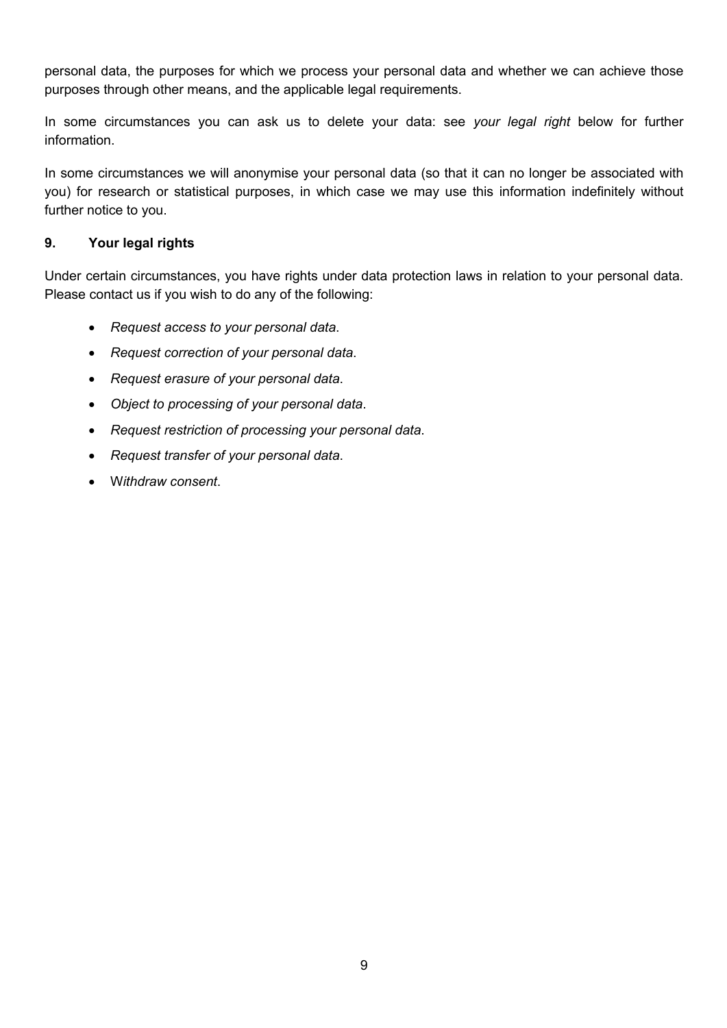personal data, the purposes for which we process your personal data and whether we can achieve those purposes through other means, and the applicable legal requirements.

In some circumstances you can ask us to delete your data: see *your legal right* below for further information.

In some circumstances we will anonymise your personal data (so that it can no longer be associated with you) for research or statistical purposes, in which case we may use this information indefinitely without further notice to you.

#### **9. Your legal rights**

Under certain circumstances, you have rights under data protection laws in relation to your personal data. Please contact us if you wish to do any of the following:

- *Request access to your personal data*.
- *Request correction of your personal data*.
- *Request erasure of your personal data*.
- *Object to processing of your personal data*.
- *Request restriction of processing your personal data*.
- *Request transfer of your personal data*.
- W*ithdraw consent*.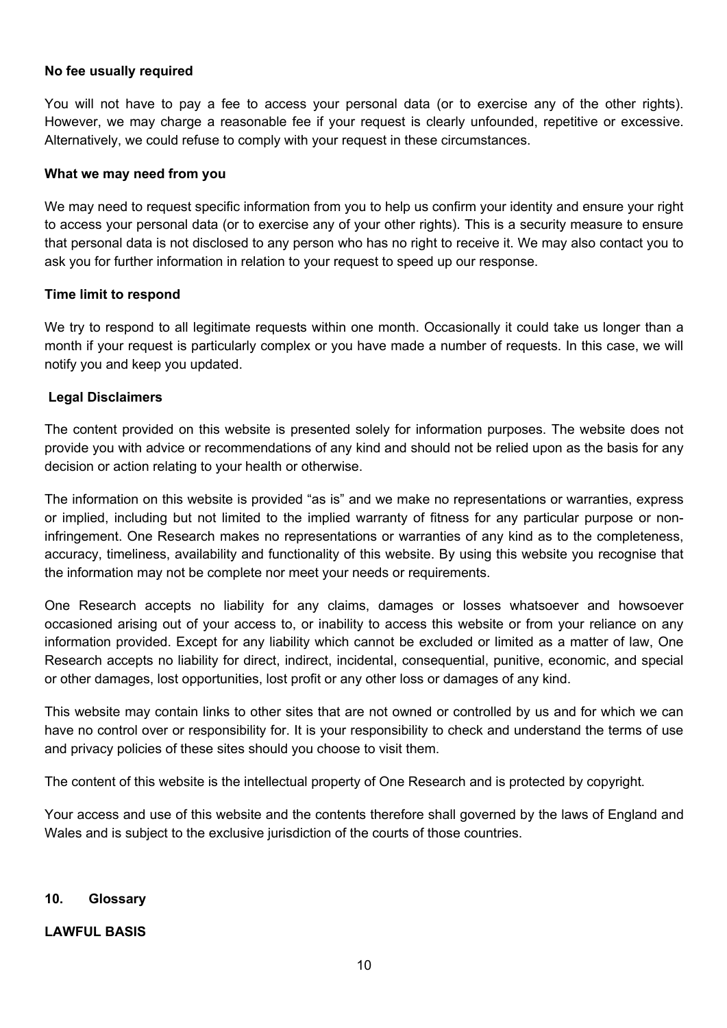#### **No fee usually required**

You will not have to pay a fee to access your personal data (or to exercise any of the other rights). However, we may charge a reasonable fee if your request is clearly unfounded, repetitive or excessive. Alternatively, we could refuse to comply with your request in these circumstances.

#### **What we may need from you**

We may need to request specific information from you to help us confirm your identity and ensure your right to access your personal data (or to exercise any of your other rights). This is a security measure to ensure that personal data is not disclosed to any person who has no right to receive it. We may also contact you to ask you for further information in relation to your request to speed up our response.

#### **Time limit to respond**

We try to respond to all legitimate requests within one month. Occasionally it could take us longer than a month if your request is particularly complex or you have made a number of requests. In this case, we will notify you and keep you updated.

#### **Legal Disclaimers**

The content provided on this website is presented solely for information purposes. The website does not provide you with advice or recommendations of any kind and should not be relied upon as the basis for any decision or action relating to your health or otherwise.

The information on this website is provided "as is" and we make no representations or warranties, express or implied, including but not limited to the implied warranty of fitness for any particular purpose or noninfringement. One Research makes no representations or warranties of any kind as to the completeness, accuracy, timeliness, availability and functionality of this website. By using this website you recognise that the information may not be complete nor meet your needs or requirements.

One Research accepts no liability for any claims, damages or losses whatsoever and howsoever occasioned arising out of your access to, or inability to access this website or from your reliance on any information provided. Except for any liability which cannot be excluded or limited as a matter of law, One Research accepts no liability for direct, indirect, incidental, consequential, punitive, economic, and special or other damages, lost opportunities, lost profit or any other loss or damages of any kind.

This website may contain links to other sites that are not owned or controlled by us and for which we can have no control over or responsibility for. It is your responsibility to check and understand the terms of use and privacy policies of these sites should you choose to visit them.

The content of this website is the intellectual property of One Research and is protected by copyright.

Your access and use of this website and the contents therefore shall governed by the laws of England and Wales and is subject to the exclusive jurisdiction of the courts of those countries.

#### **10. Glossary**

#### **LAWFUL BASIS**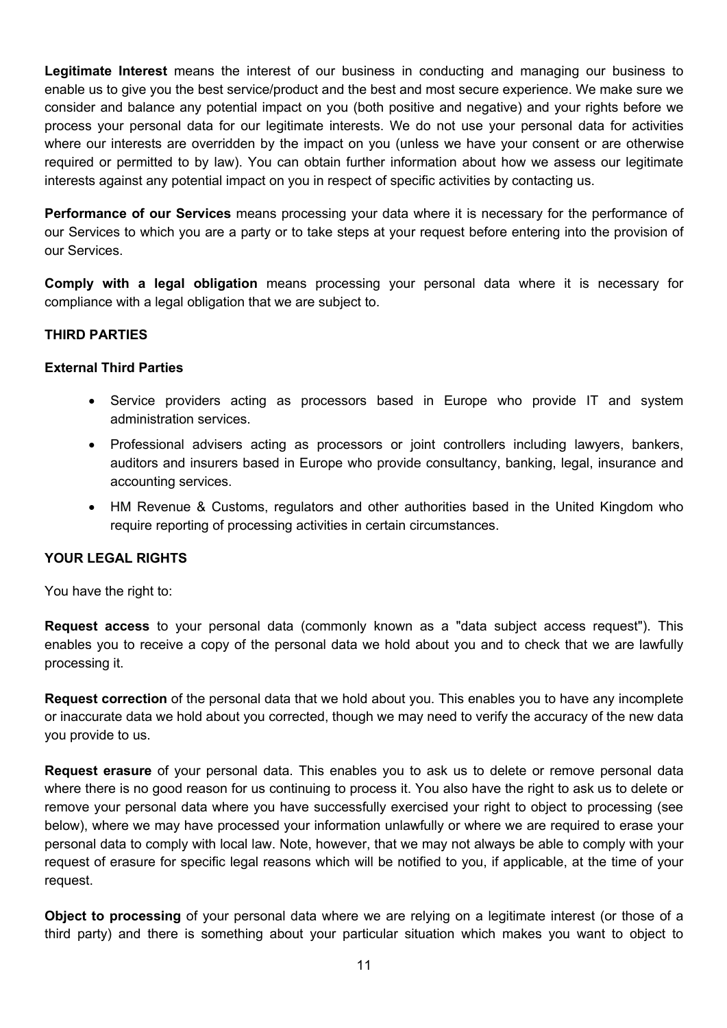**Legitimate Interest** means the interest of our business in conducting and managing our business to enable us to give you the best service/product and the best and most secure experience. We make sure we consider and balance any potential impact on you (both positive and negative) and your rights before we process your personal data for our legitimate interests. We do not use your personal data for activities where our interests are overridden by the impact on you (unless we have your consent or are otherwise required or permitted to by law). You can obtain further information about how we assess our legitimate interests against any potential impact on you in respect of specific activities by contacting us.

**Performance of our Services** means processing your data where it is necessary for the performance of our Services to which you are a party or to take steps at your request before entering into the provision of our Services.

**Comply with a legal obligation** means processing your personal data where it is necessary for compliance with a legal obligation that we are subject to.

# **THIRD PARTIES**

#### **External Third Parties**

- Service providers acting as processors based in Europe who provide IT and system administration services.
- Professional advisers acting as processors or joint controllers including lawyers, bankers, auditors and insurers based in Europe who provide consultancy, banking, legal, insurance and accounting services.
- HM Revenue & Customs, regulators and other authorities based in the United Kingdom who require reporting of processing activities in certain circumstances.

### **YOUR LEGAL RIGHTS**

You have the right to:

**Request access** to your personal data (commonly known as a "data subject access request"). This enables you to receive a copy of the personal data we hold about you and to check that we are lawfully processing it.

**Request correction** of the personal data that we hold about you. This enables you to have any incomplete or inaccurate data we hold about you corrected, though we may need to verify the accuracy of the new data you provide to us.

**Request erasure** of your personal data. This enables you to ask us to delete or remove personal data where there is no good reason for us continuing to process it. You also have the right to ask us to delete or remove your personal data where you have successfully exercised your right to object to processing (see below), where we may have processed your information unlawfully or where we are required to erase your personal data to comply with local law. Note, however, that we may not always be able to comply with your request of erasure for specific legal reasons which will be notified to you, if applicable, at the time of your request.

**Object to processing** of your personal data where we are relying on a legitimate interest (or those of a third party) and there is something about your particular situation which makes you want to object to